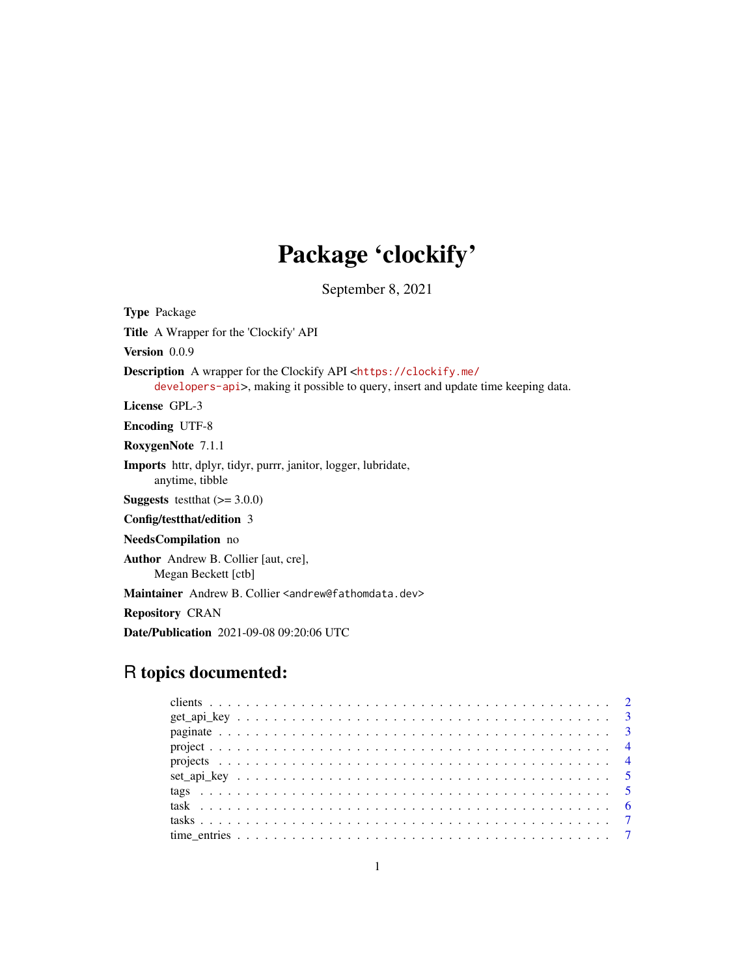## Package 'clockify'

September 8, 2021

Type Package Title A Wrapper for the 'Clockify' API Version 0.0.9 Description A wrapper for the Clockify API <[https://clockify.me/](https://clockify.me/developers-api) [developers-api](https://clockify.me/developers-api)>, making it possible to query, insert and update time keeping data. License GPL-3 Encoding UTF-8 RoxygenNote 7.1.1 Imports httr, dplyr, tidyr, purrr, janitor, logger, lubridate, anytime, tibble **Suggests** testthat  $(>= 3.0.0)$ Config/testthat/edition 3 NeedsCompilation no Author Andrew B. Collier [aut, cre], Megan Beckett [ctb] Maintainer Andrew B. Collier <andrew@fathomdata.dev> Repository CRAN

Date/Publication 2021-09-08 09:20:06 UTC

## R topics documented: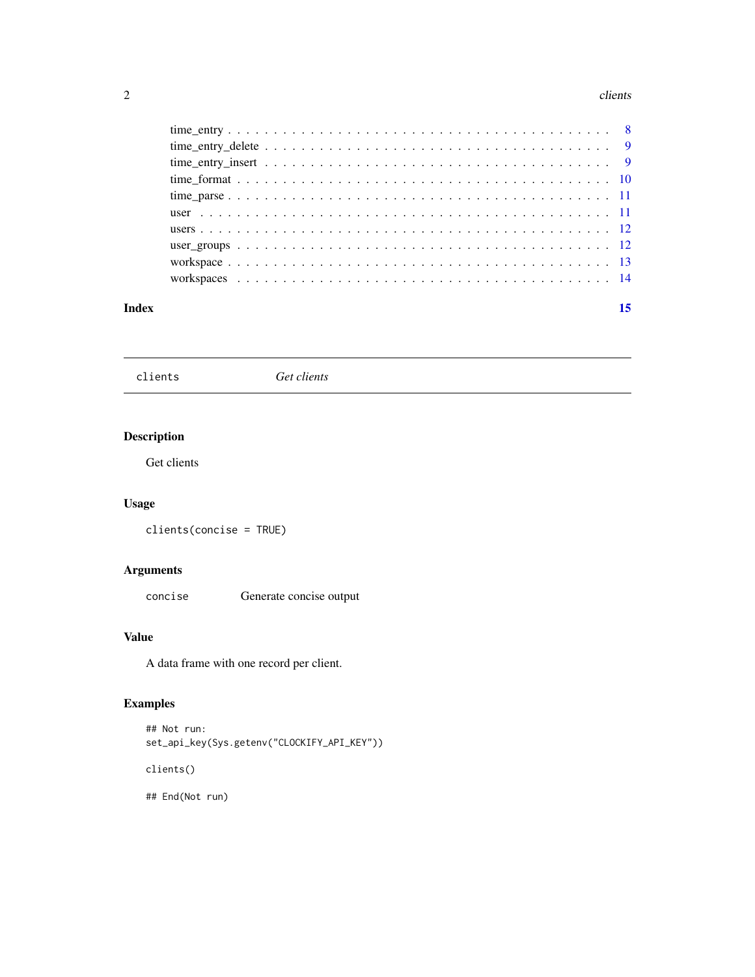#### <span id="page-1-0"></span>2 clients and  $\alpha$  clients and  $\alpha$  clients and  $\alpha$  clients and  $\alpha$  clients and  $\alpha$  clients and  $\alpha$  clients and  $\alpha$  clients and  $\alpha$  clients and  $\alpha$  clients and  $\alpha$  clients and  $\alpha$  clients and  $\alpha$  clients and  $\alpha$

#### **Index** [15](#page-14-0)

clients *Get clients*

## Description

Get clients

## Usage

clients(concise = TRUE)

## Arguments

concise Generate concise output

## Value

A data frame with one record per client.

## Examples

```
## Not run:
set_api_key(Sys.getenv("CLOCKIFY_API_KEY"))
```
clients()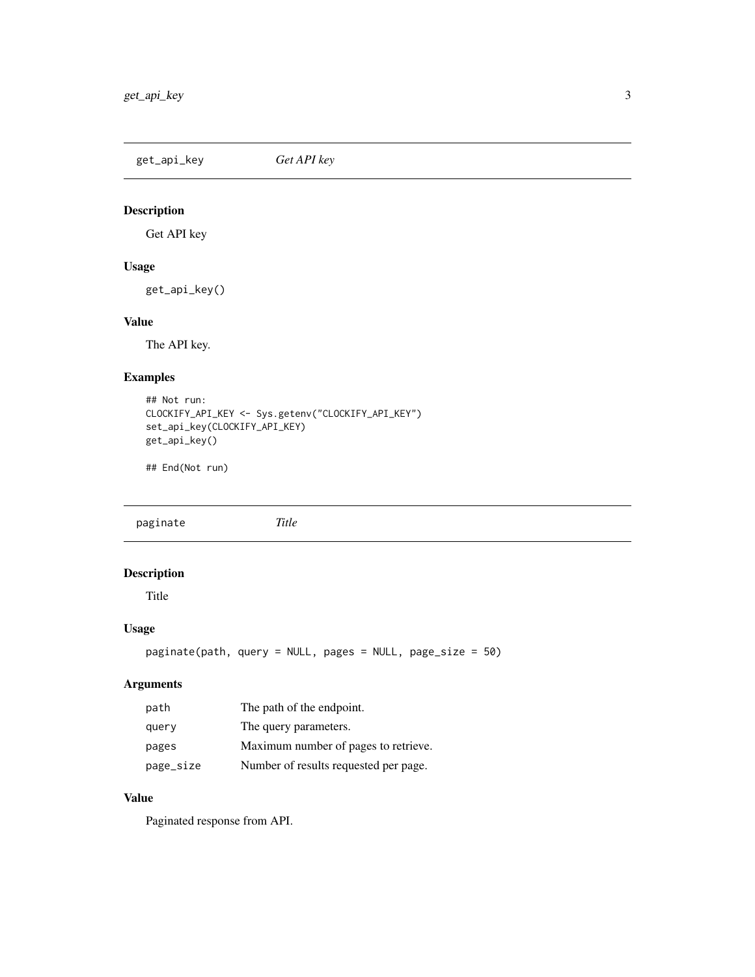<span id="page-2-0"></span>get\_api\_key *Get API key*

## Description

Get API key

#### Usage

get\_api\_key()

## Value

The API key.

#### Examples

```
## Not run:
CLOCKIFY_API_KEY <- Sys.getenv("CLOCKIFY_API_KEY")
set_api_key(CLOCKIFY_API_KEY)
get_api_key()
```
## End(Not run)

<span id="page-2-1"></span>paginate *Title*

#### Description

Title

#### Usage

```
paginate(path, query = NULL, pages = NULL, page_size = 50)
```
#### Arguments

| path      | The path of the endpoint.             |
|-----------|---------------------------------------|
| query     | The query parameters.                 |
| pages     | Maximum number of pages to retrieve.  |
| page_size | Number of results requested per page. |

## Value

Paginated response from API.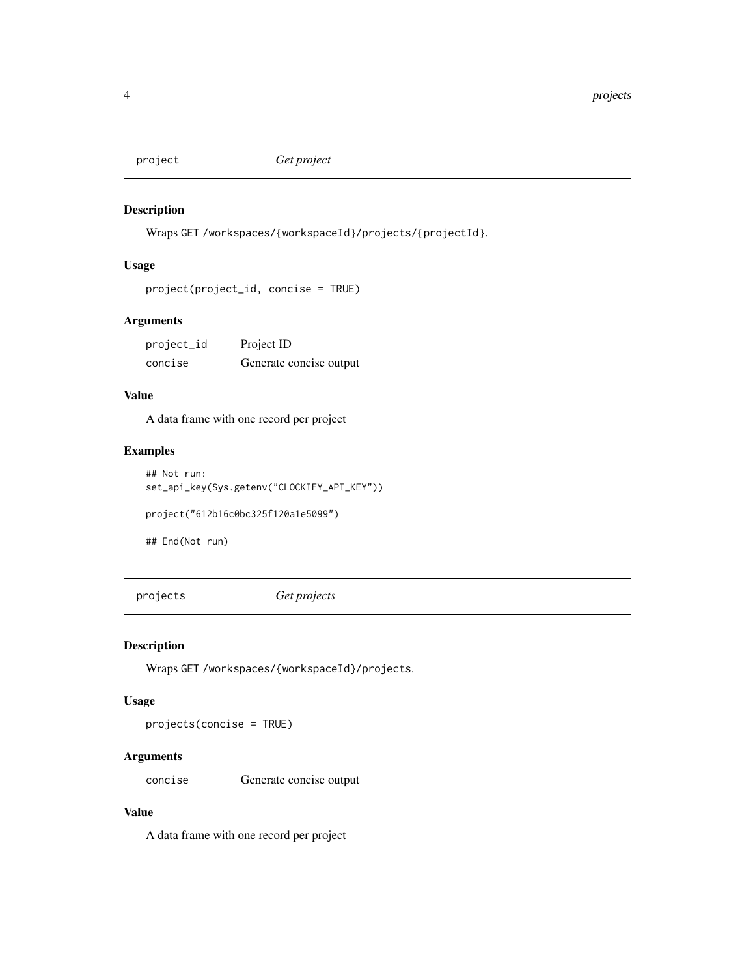<span id="page-3-0"></span>

Wraps GET /workspaces/{workspaceId}/projects/{projectId}.

#### Usage

```
project(project_id, concise = TRUE)
```
#### Arguments

| project_id | Project ID              |
|------------|-------------------------|
| concise    | Generate concise output |

## Value

A data frame with one record per project

#### Examples

## Not run: set\_api\_key(Sys.getenv("CLOCKIFY\_API\_KEY"))

project("612b16c0bc325f120a1e5099")

## End(Not run)

projects *Get projects*

#### Description

Wraps GET /workspaces/{workspaceId}/projects.

#### Usage

projects(concise = TRUE)

#### Arguments

concise Generate concise output

#### Value

A data frame with one record per project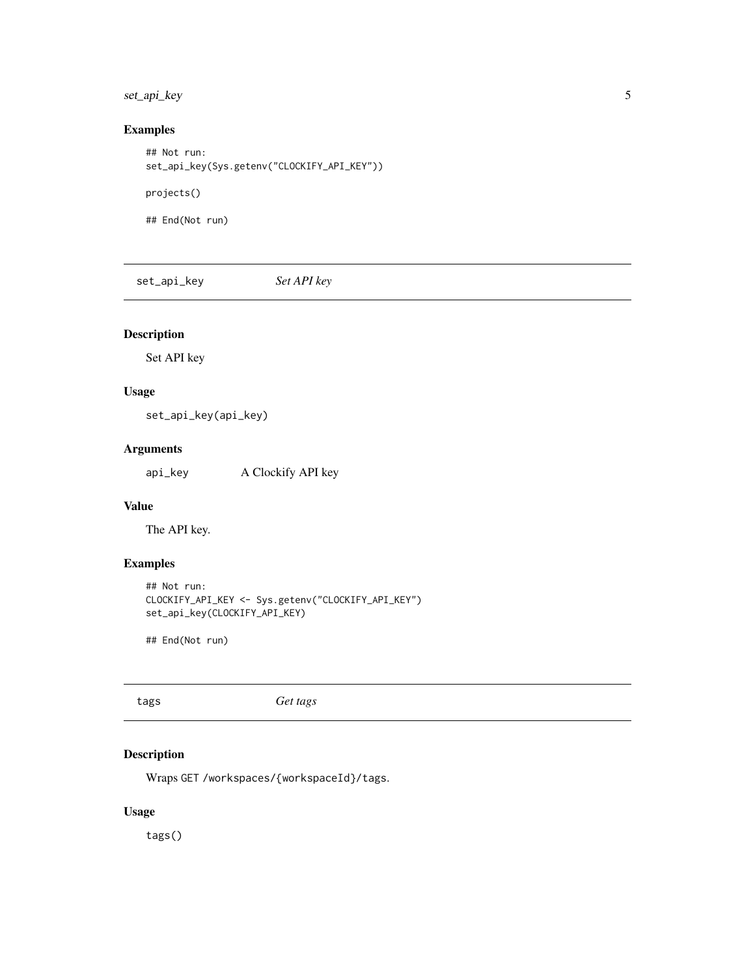## <span id="page-4-0"></span>set\_api\_key 5

## Examples

```
## Not run:
set_api_key(Sys.getenv("CLOCKIFY_API_KEY"))
projects()
## End(Not run)
```
set\_api\_key *Set API key*

## Description

Set API key

## Usage

set\_api\_key(api\_key)

## Arguments

api\_key A Clockify API key

#### Value

The API key.

#### Examples

```
## Not run:
CLOCKIFY_API_KEY <- Sys.getenv("CLOCKIFY_API_KEY")
set_api_key(CLOCKIFY_API_KEY)
```
## End(Not run)

tags *Get tags*

## Description

Wraps GET /workspaces/{workspaceId}/tags.

#### Usage

tags()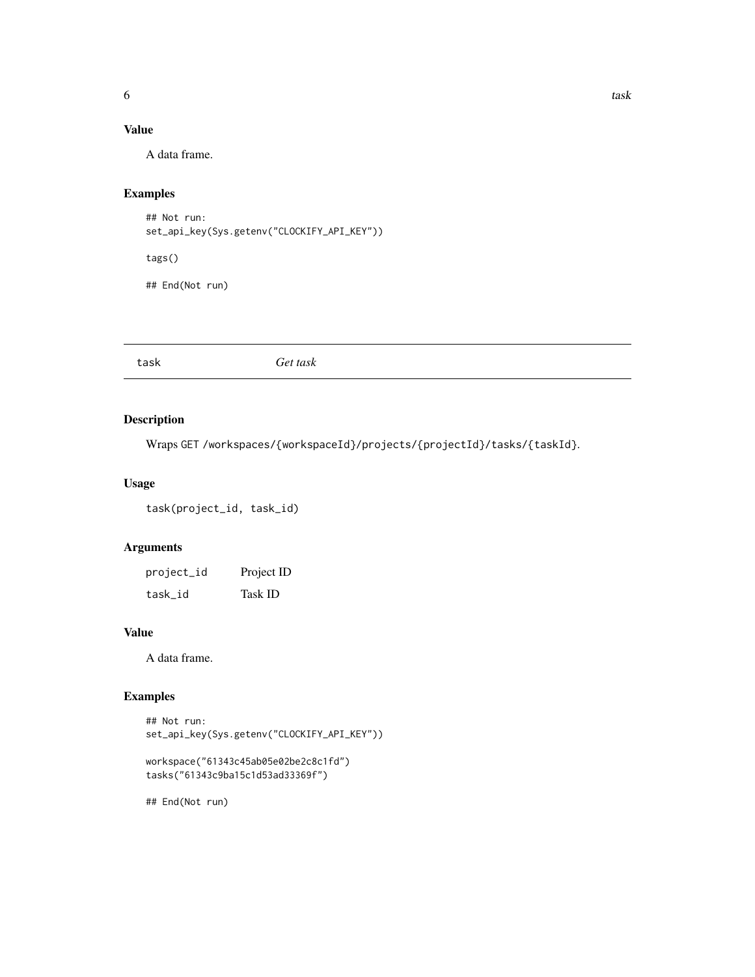## <span id="page-5-0"></span>Value

A data frame.

#### Examples

```
## Not run:
set_api_key(Sys.getenv("CLOCKIFY_API_KEY"))
```
tags()

## End(Not run)

task *Get task*

#### Description

Wraps GET /workspaces/{workspaceId}/projects/{projectId}/tasks/{taskId}.

#### Usage

task(project\_id, task\_id)

#### Arguments

| project_id | Project ID     |
|------------|----------------|
| task_id    | <b>Task ID</b> |

## Value

A data frame.

#### Examples

## Not run: set\_api\_key(Sys.getenv("CLOCKIFY\_API\_KEY"))

```
workspace("61343c45ab05e02be2c8c1fd")
tasks("61343c9ba15c1d53ad33369f")
```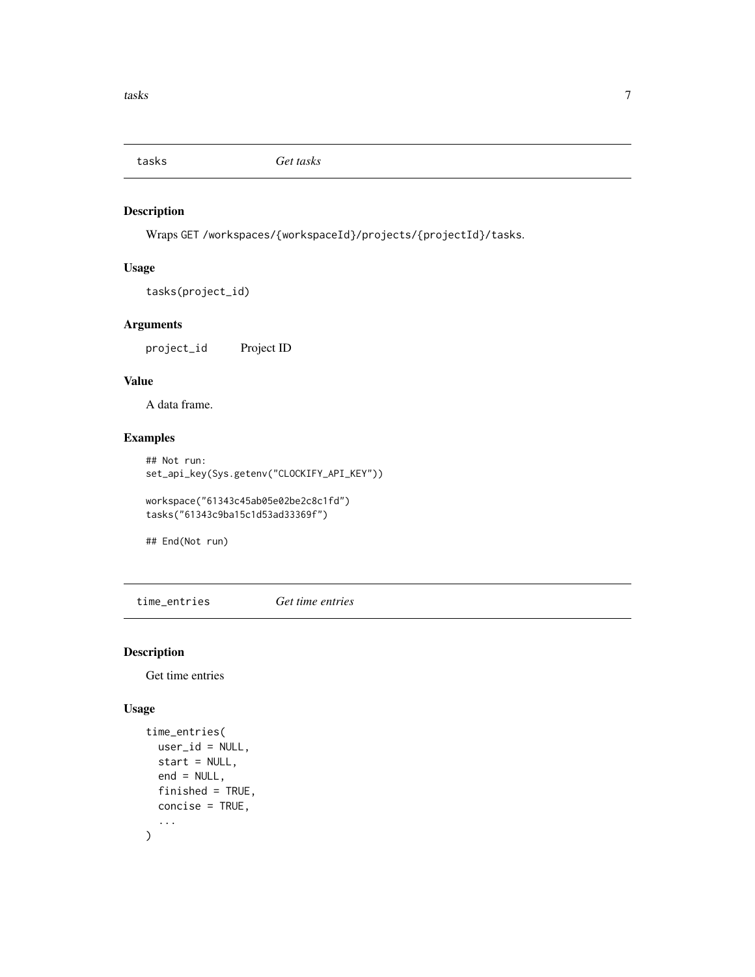<span id="page-6-0"></span>

Wraps GET /workspaces/{workspaceId}/projects/{projectId}/tasks.

#### Usage

```
tasks(project_id)
```
#### Arguments

project\_id Project ID

#### Value

A data frame.

#### Examples

## Not run: set\_api\_key(Sys.getenv("CLOCKIFY\_API\_KEY"))

workspace("61343c45ab05e02be2c8c1fd") tasks("61343c9ba15c1d53ad33369f")

## End(Not run)

time\_entries *Get time entries*

## Description

Get time entries

#### Usage

```
time_entries(
  user_id = NULL,
  start = NULL,
  end = NULL,finished = TRUE,
  concise = TRUE,
  ...
\mathcal{L}
```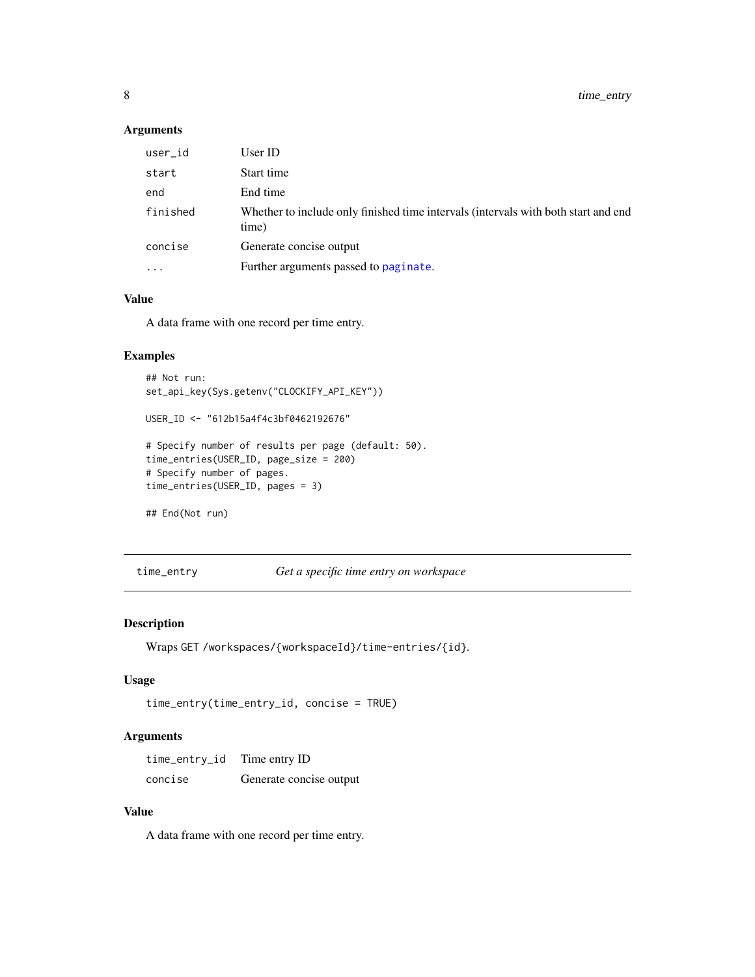#### <span id="page-7-0"></span>Arguments

| user_id   | User ID                                                                                     |
|-----------|---------------------------------------------------------------------------------------------|
| start     | Start time                                                                                  |
| end       | End time                                                                                    |
| finished  | Whether to include only finished time intervals (intervals with both start and end<br>time) |
| concise   | Generate concise output                                                                     |
| $\ddotsc$ | Further arguments passed to paginate.                                                       |
|           |                                                                                             |

#### Value

A data frame with one record per time entry.

#### Examples

```
## Not run:
set_api_key(Sys.getenv("CLOCKIFY_API_KEY"))
USER_ID <- "612b15a4f4c3bf0462192676"
# Specify number of results per page (default: 50).
time_entries(USER_ID, page_size = 200)
# Specify number of pages.
time_entries(USER_ID, pages = 3)
## End(Not run)
```
time\_entry *Get a specific time entry on workspace*

#### Description

Wraps GET /workspaces/{workspaceId}/time-entries/{id}.

#### Usage

```
time_entry(time_entry_id, concise = TRUE)
```
#### Arguments

time\_entry\_id Time entry ID concise Generate concise output

#### Value

A data frame with one record per time entry.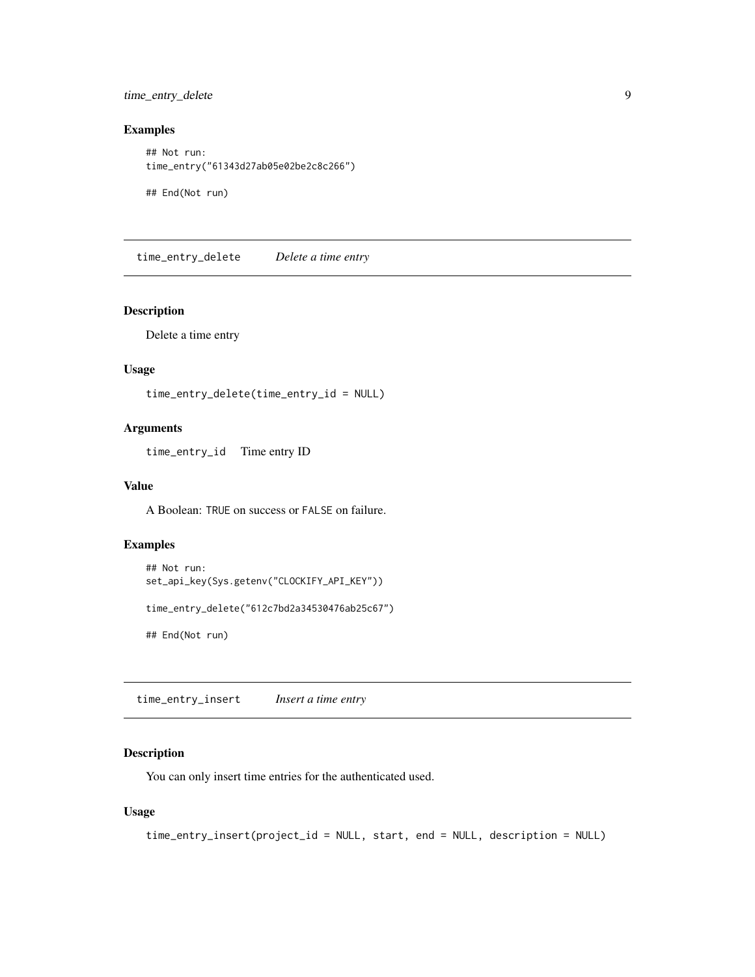<span id="page-8-0"></span>time\_entry\_delete 9

#### Examples

## Not run: time\_entry("61343d27ab05e02be2c8c266")

## End(Not run)

time\_entry\_delete *Delete a time entry*

#### Description

Delete a time entry

#### Usage

time\_entry\_delete(time\_entry\_id = NULL)

#### Arguments

time\_entry\_id Time entry ID

#### Value

A Boolean: TRUE on success or FALSE on failure.

#### Examples

```
## Not run:
set_api_key(Sys.getenv("CLOCKIFY_API_KEY"))
time_entry_delete("612c7bd2a34530476ab25c67")
```
## End(Not run)

time\_entry\_insert *Insert a time entry*

#### Description

You can only insert time entries for the authenticated used.

#### Usage

```
time_entry_insert(project_id = NULL, start, end = NULL, description = NULL)
```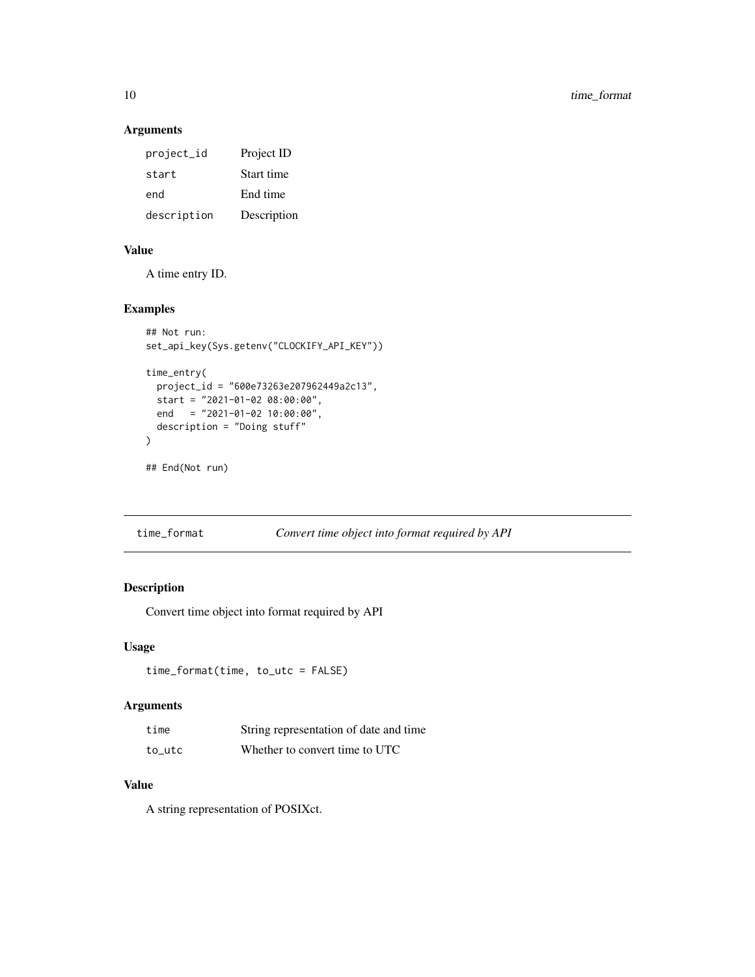#### Arguments

| project_id  | Project ID  |
|-------------|-------------|
| start       | Start time  |
| end         | End time    |
| description | Description |

#### Value

A time entry ID.

#### Examples

```
## Not run:
set_api_key(Sys.getenv("CLOCKIFY_API_KEY"))
time_entry(
 project_id = "600e73263e207962449a2c13",
  start = "2021-01-02 08:00:00",
 end = "2021-01-02 10:00:00",
 description = "Doing stuff"
\mathcal{L}## End(Not run)
```
## Description

Convert time object into format required by API

#### Usage

time\_format(time, to\_utc = FALSE)

## Arguments

| time   | String representation of date and time |
|--------|----------------------------------------|
| to utc | Whether to convert time to UTC         |

#### Value

A string representation of POSIXct.

<span id="page-9-0"></span>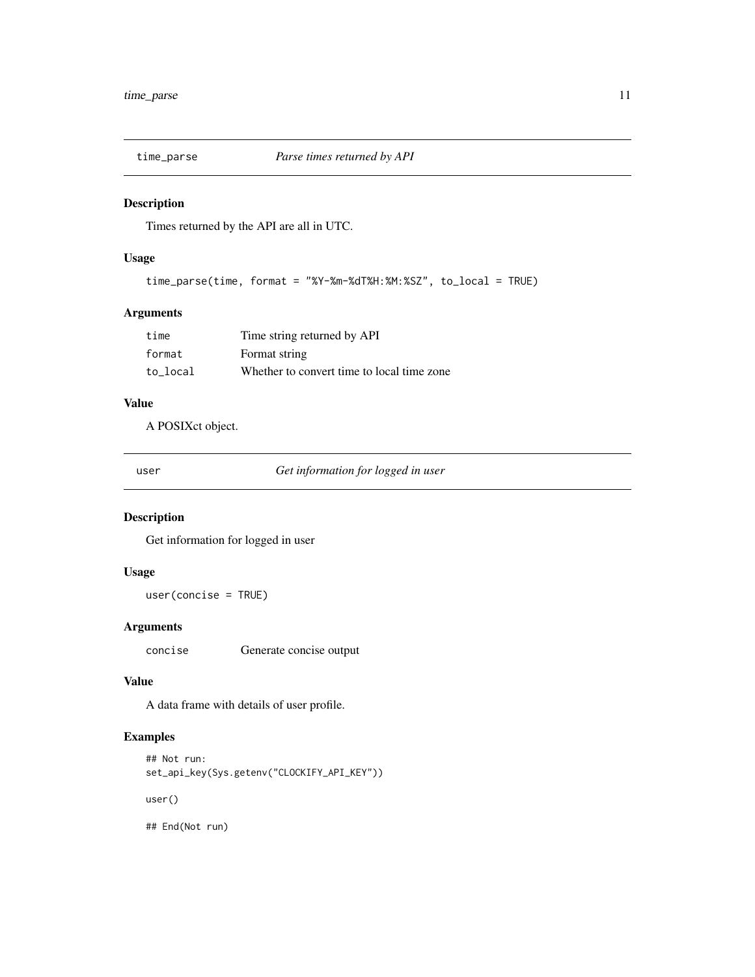<span id="page-10-0"></span>

Times returned by the API are all in UTC.

#### Usage

```
time_parse(time, format = "%Y-%m-%dT%H:%M:%SZ", to_local = TRUE)
```
#### Arguments

| time     | Time string returned by API                |
|----------|--------------------------------------------|
| format   | Format string                              |
| to local | Whether to convert time to local time zone |

## Value

A POSIXct object.

user *Get information for logged in user*

#### Description

Get information for logged in user

#### Usage

user(concise = TRUE)

#### Arguments

concise Generate concise output

#### Value

A data frame with details of user profile.

#### Examples

```
## Not run:
set_api_key(Sys.getenv("CLOCKIFY_API_KEY"))
user()
```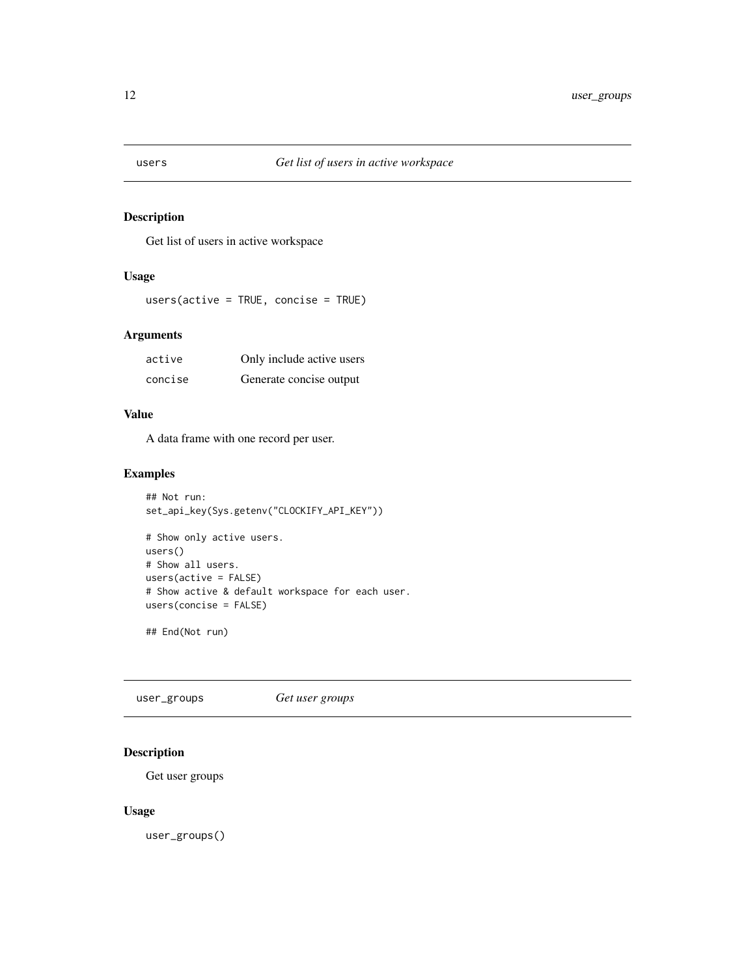<span id="page-11-0"></span>

Get list of users in active workspace

#### Usage

users(active = TRUE, concise = TRUE)

#### Arguments

| active  | Only include active users |
|---------|---------------------------|
| concise | Generate concise output   |

## Value

A data frame with one record per user.

#### Examples

```
## Not run:
set_api_key(Sys.getenv("CLOCKIFY_API_KEY"))
# Show only active users.
users()
# Show all users.
users(active = FALSE)
# Show active & default workspace for each user.
users(concise = FALSE)
```
## End(Not run)

user\_groups *Get user groups*

## Description

Get user groups

#### Usage

user\_groups()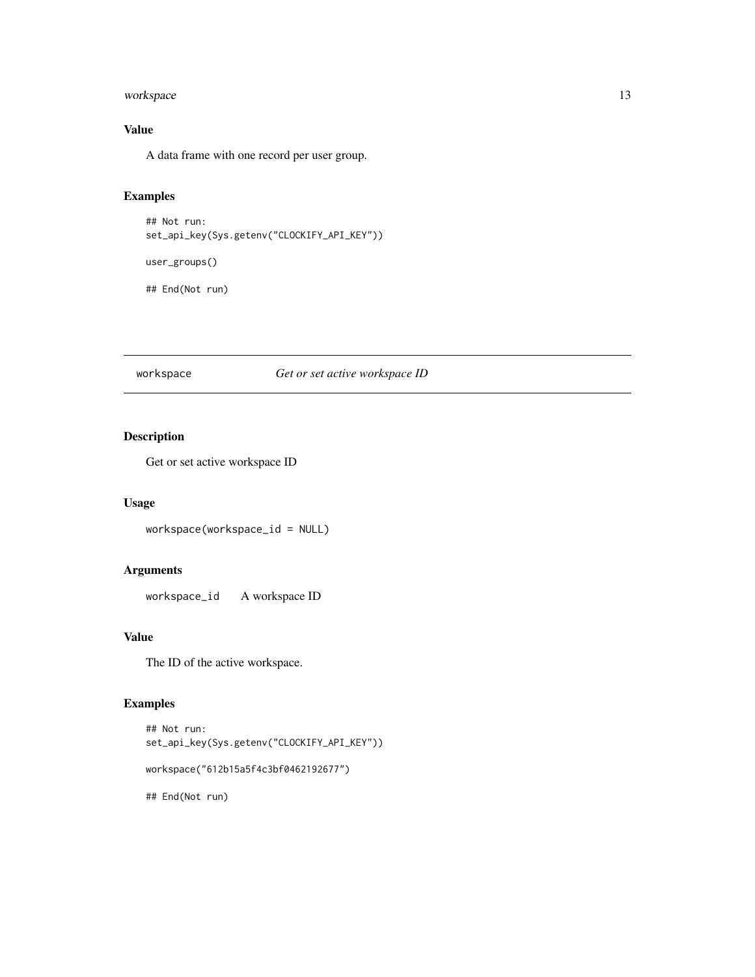#### <span id="page-12-0"></span>workspace 13

## Value

A data frame with one record per user group.

## Examples

```
## Not run:
set_api_key(Sys.getenv("CLOCKIFY_API_KEY"))
```
user\_groups()

## End(Not run)

#### workspace *Get or set active workspace ID*

## Description

Get or set active workspace ID

## Usage

workspace(workspace\_id = NULL)

## Arguments

workspace\_id A workspace ID

#### Value

The ID of the active workspace.

#### Examples

```
## Not run:
set_api_key(Sys.getenv("CLOCKIFY_API_KEY"))
workspace("612b15a5f4c3bf0462192677")
## End(Not run)
```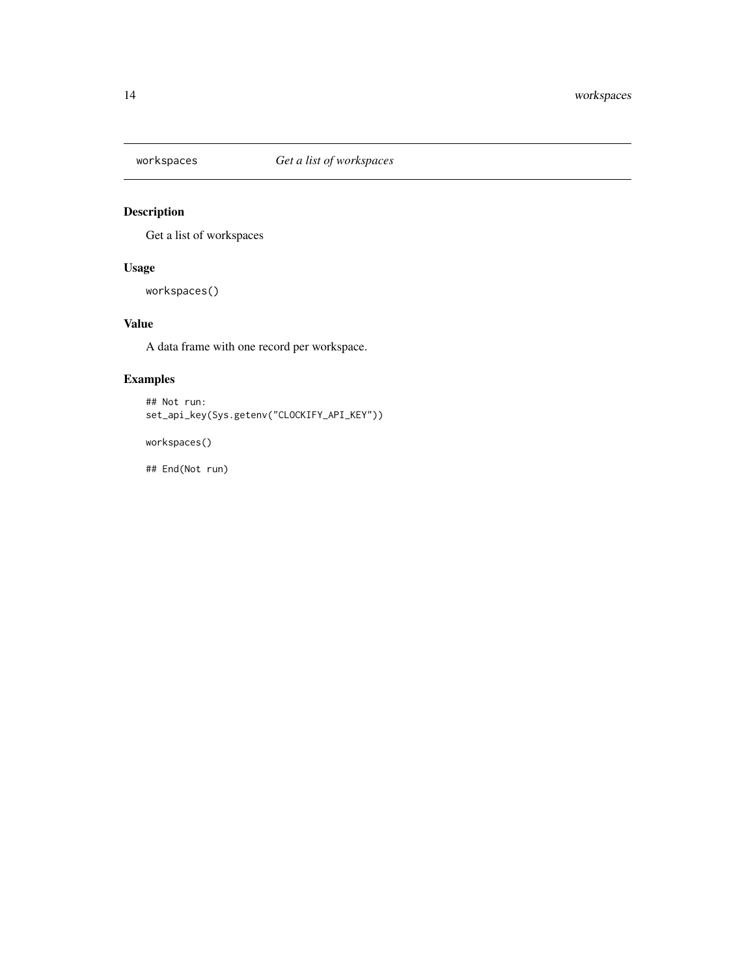<span id="page-13-0"></span>

Get a list of workspaces

#### Usage

workspaces()

## Value

A data frame with one record per workspace.

#### Examples

## Not run: set\_api\_key(Sys.getenv("CLOCKIFY\_API\_KEY"))

workspaces()